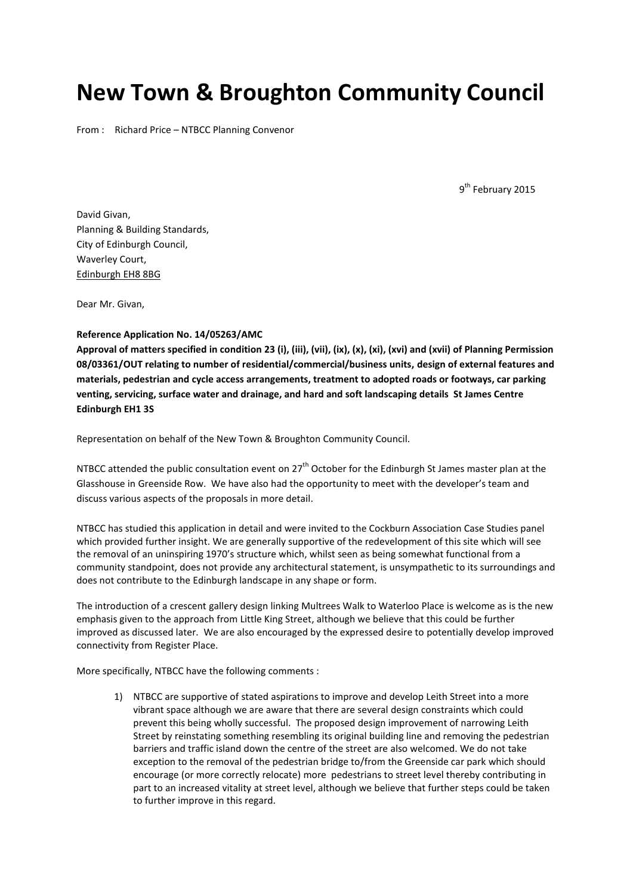## **New Town & Broughton Community Council**

From : Richard Price – NTBCC Planning Convenor

9<sup>th</sup> February 2015

David Givan, Planning & Building Standards, City of Edinburgh Council, Waverley Court, Edinburgh EH8 8BG

Dear Mr. Givan,

## **Reference Application No. 14/05263/AMC**

**Approval of matters specified in condition 23 (i), (iii), (vii), (ix), (x), (xi), (xvi) and (xvii) of Planning Permission 08/03361/OUT relating to number of residential/commercial/business units, design of external features and materials, pedestrian and cycle access arrangements, treatment to adopted roads or footways, car parking venting, servicing, surface water and drainage, and hard and soft landscaping details St James Centre Edinburgh EH1 3S** 

Representation on behalf of the New Town & Broughton Community Council.

NTBCC attended the public consultation event on  $27<sup>th</sup>$  October for the Edinburgh St James master plan at the Glasshouse in Greenside Row. We have also had the opportunity to meet with the developer's team and discuss various aspects of the proposals in more detail.

NTBCC has studied this application in detail and were invited to the Cockburn Association Case Studies panel which provided further insight. We are generally supportive of the redevelopment of this site which will see the removal of an uninspiring 1970's structure which, whilst seen as being somewhat functional from a community standpoint, does not provide any architectural statement, is unsympathetic to its surroundings and does not contribute to the Edinburgh landscape in any shape or form.

The introduction of a crescent gallery design linking Multrees Walk to Waterloo Place is welcome as is the new emphasis given to the approach from Little King Street, although we believe that this could be further improved as discussed later. We are also encouraged by the expressed desire to potentially develop improved connectivity from Register Place.

More specifically, NTBCC have the following comments :

1) NTBCC are supportive of stated aspirations to improve and develop Leith Street into a more vibrant space although we are aware that there are several design constraints which could prevent this being wholly successful. The proposed design improvement of narrowing Leith Street by reinstating something resembling its original building line and removing the pedestrian barriers and traffic island down the centre of the street are also welcomed. We do not take exception to the removal of the pedestrian bridge to/from the Greenside car park which should encourage (or more correctly relocate) more pedestrians to street level thereby contributing in part to an increased vitality at street level, although we believe that further steps could be taken to further improve in this regard.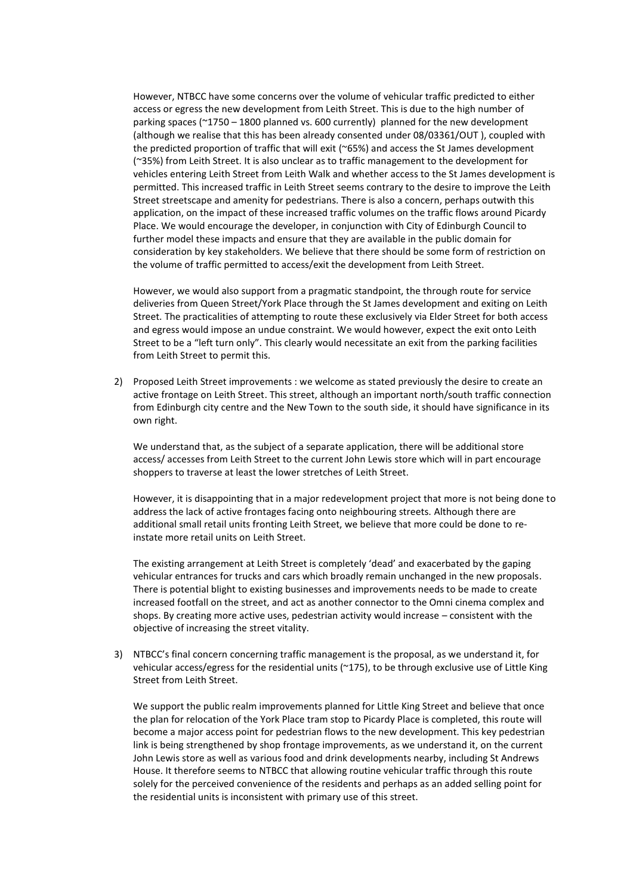However, NTBCC have some concerns over the volume of vehicular traffic predicted to either access or egress the new development from Leith Street. This is due to the high number of parking spaces (~1750 – 1800 planned vs. 600 currently) planned for the new development (although we realise that this has been already consented under 08/03361/OUT ), coupled with the predicted proportion of traffic that will exit (~65%) and access the St James development (~35%) from Leith Street. It is also unclear as to traffic management to the development for vehicles entering Leith Street from Leith Walk and whether access to the St James development is permitted. This increased traffic in Leith Street seems contrary to the desire to improve the Leith Street streetscape and amenity for pedestrians. There is also a concern, perhaps outwith this application, on the impact of these increased traffic volumes on the traffic flows around Picardy Place. We would encourage the developer, in conjunction with City of Edinburgh Council to further model these impacts and ensure that they are available in the public domain for consideration by key stakeholders. We believe that there should be some form of restriction on the volume of traffic permitted to access/exit the development from Leith Street.

However, we would also support from a pragmatic standpoint, the through route for service deliveries from Queen Street/York Place through the St James development and exiting on Leith Street. The practicalities of attempting to route these exclusively via Elder Street for both access and egress would impose an undue constraint. We would however, expect the exit onto Leith Street to be a "left turn only". This clearly would necessitate an exit from the parking facilities from Leith Street to permit this.

2) Proposed Leith Street improvements : we welcome as stated previously the desire to create an active frontage on Leith Street. This street, although an important north/south traffic connection from Edinburgh city centre and the New Town to the south side, it should have significance in its own right.

We understand that, as the subject of a separate application, there will be additional store access/ accesses from Leith Street to the current John Lewis store which will in part encourage shoppers to traverse at least the lower stretches of Leith Street.

However, it is disappointing that in a major redevelopment project that more is not being done to address the lack of active frontages facing onto neighbouring streets. Although there are additional small retail units fronting Leith Street, we believe that more could be done to reinstate more retail units on Leith Street.

The existing arrangement at Leith Street is completely 'dead' and exacerbated by the gaping vehicular entrances for trucks and cars which broadly remain unchanged in the new proposals. There is potential blight to existing businesses and improvements needs to be made to create increased footfall on the street, and act as another connector to the Omni cinema complex and shops. By creating more active uses, pedestrian activity would increase – consistent with the objective of increasing the street vitality.

3) NTBCC's final concern concerning traffic management is the proposal, as we understand it, for vehicular access/egress for the residential units (~175), to be through exclusive use of Little King Street from Leith Street.

We support the public realm improvements planned for Little King Street and believe that once the plan for relocation of the York Place tram stop to Picardy Place is completed, this route will become a major access point for pedestrian flows to the new development. This key pedestrian link is being strengthened by shop frontage improvements, as we understand it, on the current John Lewis store as well as various food and drink developments nearby, including St Andrews House. It therefore seems to NTBCC that allowing routine vehicular traffic through this route solely for the perceived convenience of the residents and perhaps as an added selling point for the residential units is inconsistent with primary use of this street.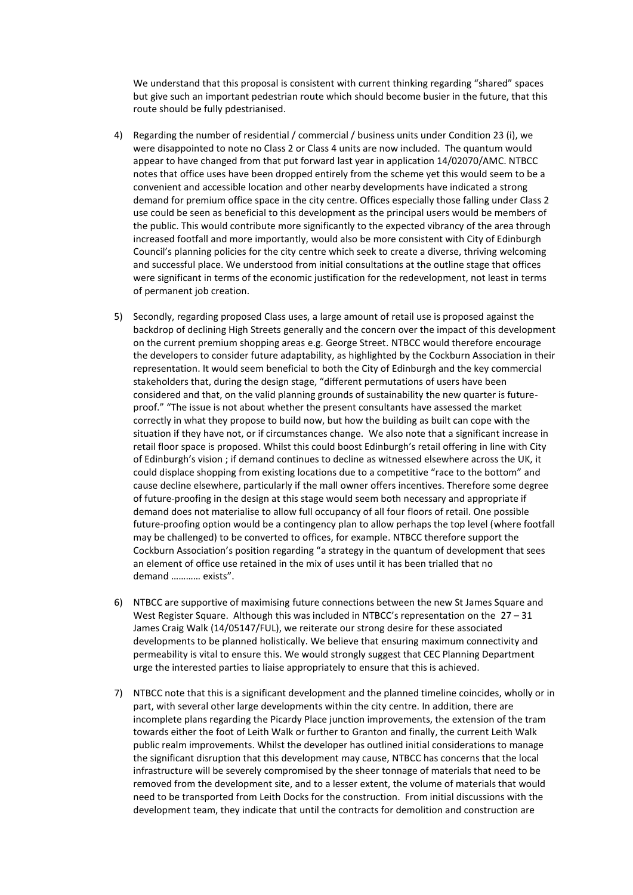We understand that this proposal is consistent with current thinking regarding "shared" spaces but give such an important pedestrian route which should become busier in the future, that this route should be fully pdestrianised.

- 4) Regarding the number of residential / commercial / business units under Condition 23 (i), we were disappointed to note no Class 2 or Class 4 units are now included. The quantum would appear to have changed from that put forward last year in application 14/02070/AMC. NTBCC notes that office uses have been dropped entirely from the scheme yet this would seem to be a convenient and accessible location and other nearby developments have indicated a strong demand for premium office space in the city centre. Offices especially those falling under Class 2 use could be seen as beneficial to this development as the principal users would be members of the public. This would contribute more significantly to the expected vibrancy of the area through increased footfall and more importantly, would also be more consistent with City of Edinburgh Council's planning policies for the city centre which seek to create a diverse, thriving welcoming and successful place. We understood from initial consultations at the outline stage that offices were significant in terms of the economic justification for the redevelopment, not least in terms of permanent job creation.
- 5) Secondly, regarding proposed Class uses, a large amount of retail use is proposed against the backdrop of declining High Streets generally and the concern over the impact of this development on the current premium shopping areas e.g. George Street. NTBCC would therefore encourage the developers to consider future adaptability, as highlighted by the Cockburn Association in their representation. It would seem beneficial to both the City of Edinburgh and the key commercial stakeholders that, during the design stage, "different permutations of users have been considered and that, on the valid planning grounds of sustainability the new quarter is futureproof." "The issue is not about whether the present consultants have assessed the market correctly in what they propose to build now, but how the building as built can cope with the situation if they have not, or if circumstances change. We also note that a significant increase in retail floor space is proposed. Whilst this could boost Edinburgh's retail offering in line with City of Edinburgh's vision ; if demand continues to decline as witnessed elsewhere across the UK, it could displace shopping from existing locations due to a competitive "race to the bottom" and cause decline elsewhere, particularly if the mall owner offers incentives. Therefore some degree of future-proofing in the design at this stage would seem both necessary and appropriate if demand does not materialise to allow full occupancy of all four floors of retail. One possible future-proofing option would be a contingency plan to allow perhaps the top level (where footfall may be challenged) to be converted to offices, for example. NTBCC therefore support the Cockburn Association's position regarding "a strategy in the quantum of development that sees an element of office use retained in the mix of uses until it has been trialled that no demand ………… exists".
- 6) NTBCC are supportive of maximising future connections between the new St James Square and West Register Square. Although this was included in NTBCC's representation on the  $27 - 31$ James Craig Walk (14/05147/FUL), we reiterate our strong desire for these associated developments to be planned holistically. We believe that ensuring maximum connectivity and permeability is vital to ensure this. We would strongly suggest that CEC Planning Department urge the interested parties to liaise appropriately to ensure that this is achieved.
- 7) NTBCC note that this is a significant development and the planned timeline coincides, wholly or in part, with several other large developments within the city centre. In addition, there are incomplete plans regarding the Picardy Place junction improvements, the extension of the tram towards either the foot of Leith Walk or further to Granton and finally, the current Leith Walk public realm improvements. Whilst the developer has outlined initial considerations to manage the significant disruption that this development may cause, NTBCC has concerns that the local infrastructure will be severely compromised by the sheer tonnage of materials that need to be removed from the development site, and to a lesser extent, the volume of materials that would need to be transported from Leith Docks for the construction. From initial discussions with the development team, they indicate that until the contracts for demolition and construction are